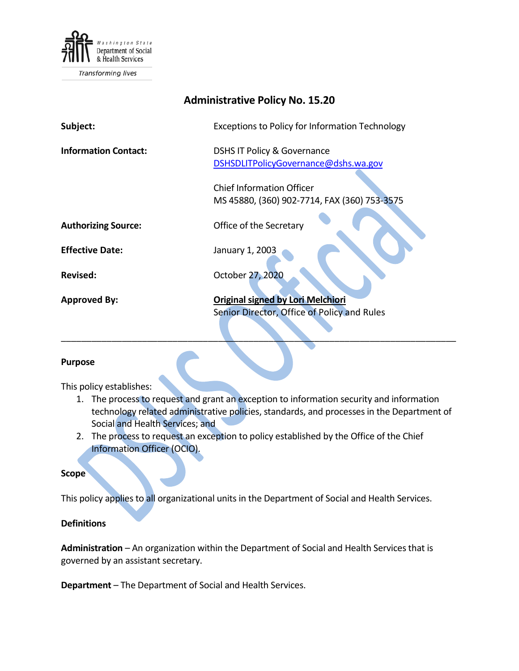

| <b>Administrative Policy No. 15.20</b> |                                                        |
|----------------------------------------|--------------------------------------------------------|
| Subject:                               | <b>Exceptions to Policy for Information Technology</b> |
| <b>Information Contact:</b>            | <b>DSHS IT Policy &amp; Governance</b>                 |
|                                        | DSHSDLITPolicyGovernance@dshs.wa.gov                   |
|                                        | <b>Chief Information Officer</b>                       |
|                                        | MS 45880, (360) 902-7714, FAX (360) 753-3575           |
| <b>Authorizing Source:</b>             | Office of the Secretary                                |
| <b>Effective Date:</b>                 | January 1, 2003                                        |
| <b>Revised:</b>                        | October 27, 2020                                       |
| <b>Approved By:</b>                    | <b>Original signed by Lori Melchiori</b>               |
|                                        | Senior Director, Office of Policy and Rules            |
|                                        |                                                        |

### **Purpose**

This policy establishes:

1. The process to request and grant an exception to information security and information technology related administrative policies, standards, and processes in the Department of Social and Health Services; and

\_\_\_\_\_\_\_\_\_\_\_\_\_\_\_\_\_\_\_\_\_\_\_\_\_\_\_\_\_\_\_\_\_\_\_\_\_\_\_\_\_\_\_\_\_\_\_\_\_\_\_\_\_\_\_\_\_\_\_\_\_\_\_\_\_\_\_\_\_\_\_\_\_\_\_\_\_\_

2. The process to request an exception to policy established by the Office of the Chief Information Officer (OCIO).

### **Scope**

This policy applies to all organizational units in the Department of Social and Health Services.

# **Definitions**

**Administration** – An organization within the Department of Social and Health Services that is governed by an assistant secretary.

**Department** – The Department of Social and Health Services.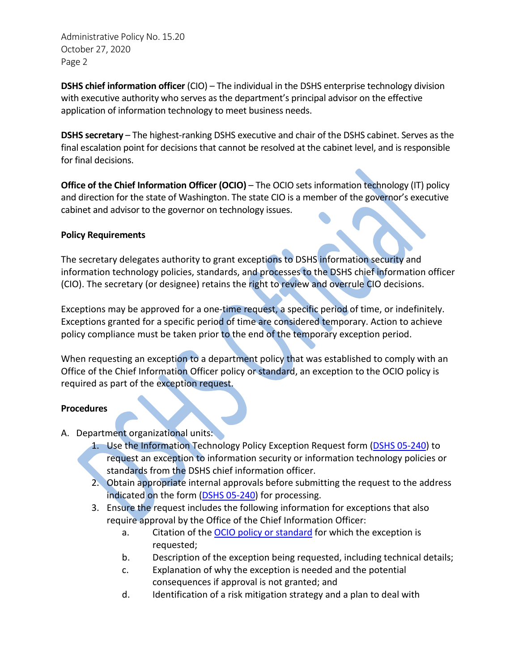Administrative Policy No. 15.20 October 27, 2020 Page 2

**DSHS chief information officer** (CIO) – The individual in the DSHS enterprise technology division with executive authority who serves as the department's principal advisor on the effective application of information technology to meet business needs.

**DSHS secretary** – The highest-ranking DSHS executive and chair of the DSHS cabinet. Serves as the final escalation point for decisions that cannot be resolved at the cabinet level, and is responsible for final decisions.

**Office of the Chief Information Officer (OCIO)** – The OCIO sets information technology (IT) policy and direction for the state of Washington. The state CIO is a member of the governor's executive cabinet and advisor to the governor on technology issues.

# **Policy Requirements**

The secretary delegates authority to grant exceptions to DSHS information security and information technology policies, standards, and processes to the DSHS chief information officer (CIO). The secretary (or designee) retains the right to review and overrule CIO decisions.

Exceptions may be approved for a one-time request, a specific period of time, or indefinitely. Exceptions granted for a specific period of time are considered temporary. Action to achieve policy compliance must be taken prior to the end of the temporary exception period.

When requesting an exception to a department policy that was established to comply with an Office of the Chief Information Officer policy or standard, an exception to the OCIO policy is required as part of the exception request.

### **Procedures**

- A. Department organizational units:
	- 1. Use the Information Technology Policy Exception Request form [\(DSHS 05-240\)](http://forms.dshs.wa.lcl/formDetails.aspx?ID=54623) to request an exception to information security or information technology policies or standards from the DSHS chief information officer.
	- 2. Obtain appropriate internal approvals before submitting the request to the address indicated on the form [\(DSHS 05-240\)](http://forms.dshs.wa.lcl/formDetails.aspx?ID=54623) for processing.
	- 3. Ensure the request includes the following information for exceptions that also require approval by the Office of the Chief Information Officer:
		- a. Citation of th[e OCIO policy or standard](https://ocio.wa.gov/policies) for which the exception is requested;
		- b. Description of the exception being requested, including technical details;
		- c. Explanation of why the exception is needed and the potential consequences if approval is not granted; and
		- d. Identification of a risk mitigation strategy and a plan to deal with